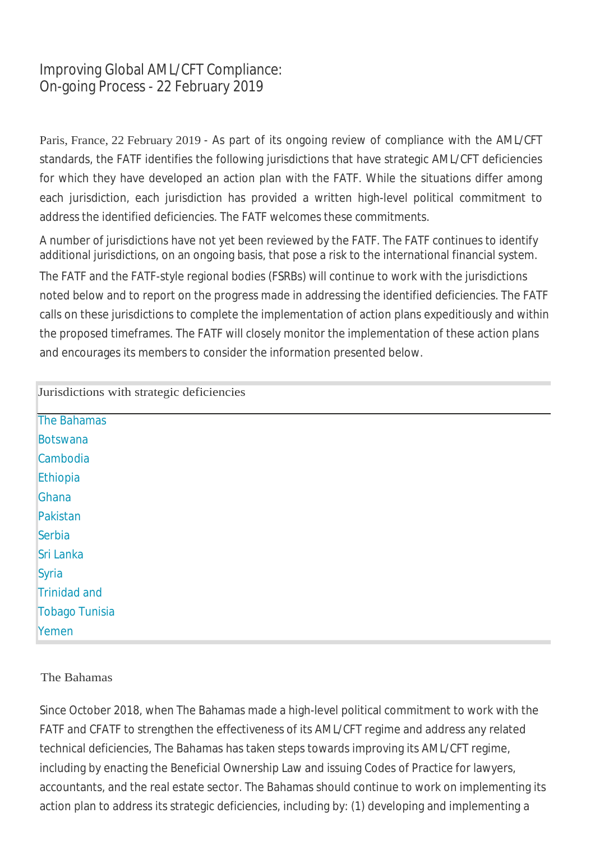# Improving Global AML/CFT Compliance: On-going Process - 22 February 2019

Paris, France, 22 February 2019 - As part of its ongoing review of compliance with the AML/CFT standards, the FATF identifies the following jurisdictions that have strategic AML/CFT deficiencies for which they have developed an action plan with the FATF. While the situations differ among each jurisdiction, each jurisdiction has provided a written high-level political commitment to address the identified deficiencies. The FATF welcomes these commitments.

A number of jurisdictions have not yet been reviewed by the FATF. The FATF continues to identify additional jurisdictions, on an ongoing basis, that pose a risk to the international financial system.

The FATF and the FATF-style regional bodies (FSRBs) will continue to work with the jurisdictions noted below and to report on the progress made in addressing the identified deficiencies. The FATF calls on these jurisdictions to complete the implementation of action plans expeditiously and within the proposed timeframes. The FATF will closely monitor the implementation of these action plans and encourages its members to consider the information presented below.

| Jurisdictions with strategic deficiencies |  |
|-------------------------------------------|--|
| The Bahamas                               |  |
| <b>Botswana</b>                           |  |
| Cambodia                                  |  |
| Ethiopia                                  |  |
| Ghana                                     |  |
| Pakistan                                  |  |
| Serbia                                    |  |
| Sri Lanka                                 |  |
| Syria                                     |  |
| <b>Trinidad and</b>                       |  |
| <b>Tobago Tunisia</b>                     |  |
| Yemen                                     |  |

## The Bahamas

Since October 2018, when The Bahamas made a high-level political commitment to work with the FATF and CFATF to strengthen the effectiveness of its AML/CFT regime and address any related technical deficiencies, The Bahamas has taken steps towards improving its AML/CFT regime, including by enacting the Beneficial Ownership Law and issuing Codes of Practice for lawyers, accountants, and the real estate sector. The Bahamas should continue to work on implementing its action plan to address its strategic deficiencies, including by: (1) developing and implementing a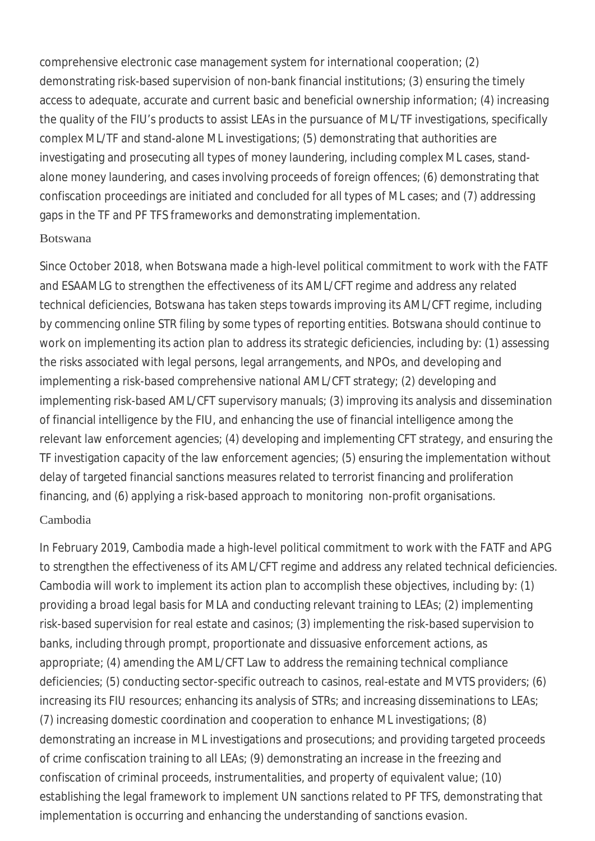comprehensive electronic case management system for international cooperation; (2) demonstrating risk-based supervision of non-bank financial institutions; (3) ensuring the timely access to adequate, accurate and current basic and beneficial ownership information; (4) increasing the quality of the FIU's products to assist LEAs in the pursuance of ML/TF investigations, specifically complex ML/TF and stand-alone ML investigations; (5) demonstrating that authorities are investigating and prosecuting all types of money laundering, including complex ML cases, standalone money laundering, and cases involving proceeds of foreign offences; (6) demonstrating that confiscation proceedings are initiated and concluded for all types of ML cases; and (7) addressing gaps in the TF and PF TFS frameworks and demonstrating implementation.

## Botswana

Since October 2018, when Botswana made a high-level political commitment to work with the FATF and ESAAMLG to strengthen the effectiveness of its AML/CFT regime and address any related technical deficiencies, Botswana has taken steps towards improving its AML/CFT regime, including by commencing online STR filing by some types of reporting entities. Botswana should continue to work on implementing its action plan to address its strategic deficiencies, including by: (1) assessing the risks associated with legal persons, legal arrangements, and NPOs, and developing and implementing a risk-based comprehensive national AML/CFT strategy; (2) developing and implementing risk-based AML/CFT supervisory manuals; (3) improving its analysis and dissemination of financial intelligence by the FIU, and enhancing the use of financial intelligence among the relevant law enforcement agencies; (4) developing and implementing CFT strategy, and ensuring the TF investigation capacity of the law enforcement agencies; (5) ensuring the implementation without delay of targeted financial sanctions measures related to terrorist financing and proliferation financing, and (6) applying a risk-based approach to monitoring non-profit organisations. Cambodia

In February 2019, Cambodia made a high-level political commitment to work with the FATF and APG to strengthen the effectiveness of its AML/CFT regime and address any related technical deficiencies. Cambodia will work to implement its action plan to accomplish these objectives, including by: (1) providing a broad legal basis for MLA and conducting relevant training to LEAs; (2) implementing risk-based supervision for real estate and casinos; (3) implementing the risk-based supervision to banks, including through prompt, proportionate and dissuasive enforcement actions, as appropriate; (4) amending the AML/CFT Law to address the remaining technical compliance deficiencies; (5) conducting sector-specific outreach to casinos, real-estate and MVTS providers; (6) increasing its FIU resources; enhancing its analysis of STRs; and increasing disseminations to LEAs; (7) increasing domestic coordination and cooperation to enhance ML investigations; (8) demonstrating an increase in ML investigations and prosecutions; and providing targeted proceeds of crime confiscation training to all LEAs; (9) demonstrating an increase in the freezing and confiscation of criminal proceeds, instrumentalities, and property of equivalent value; (10) establishing the legal framework to implement UN sanctions related to PF TFS, demonstrating that implementation is occurring and enhancing the understanding of sanctions evasion.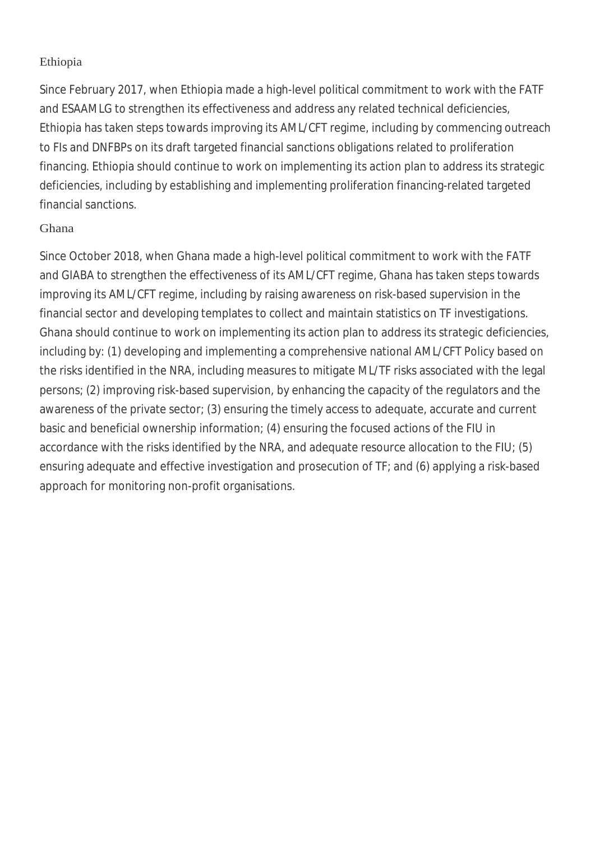## Ethiopia

Since February 2017, when Ethiopia made a high-level political commitment to work with the FATF and ESAAMLG to strengthen its effectiveness and address any related technical deficiencies, Ethiopia has taken steps towards improving its AML/CFT regime, including by commencing outreach to FIs and DNFBPs on its draft targeted financial sanctions obligations related to proliferation financing. Ethiopia should continue to work on implementing its action plan to address its strategic deficiencies, including by establishing and implementing proliferation financing-related targeted financial sanctions.

## Ghana

Since October 2018, when Ghana made a high-level political commitment to work with the FATF and GIABA to strengthen the effectiveness of its AML/CFT regime, Ghana has taken steps towards improving its AML/CFT regime, including by raising awareness on risk-based supervision in the financial sector and developing templates to collect and maintain statistics on TF investigations. Ghana should continue to work on implementing its action plan to address its strategic deficiencies, including by: (1) developing and implementing a comprehensive national AML/CFT Policy based on the risks identified in the NRA, including measures to mitigate ML/TF risks associated with the legal persons; (2) improving risk-based supervision, by enhancing the capacity of the regulators and the awareness of the private sector; (3) ensuring the timely access to adequate, accurate and current basic and beneficial ownership information; (4) ensuring the focused actions of the FIU in accordance with the risks identified by the NRA, and adequate resource allocation to the FIU; (5) ensuring adequate and effective investigation and prosecution of TF; and (6) applying a risk-based approach for monitoring non-profit organisations.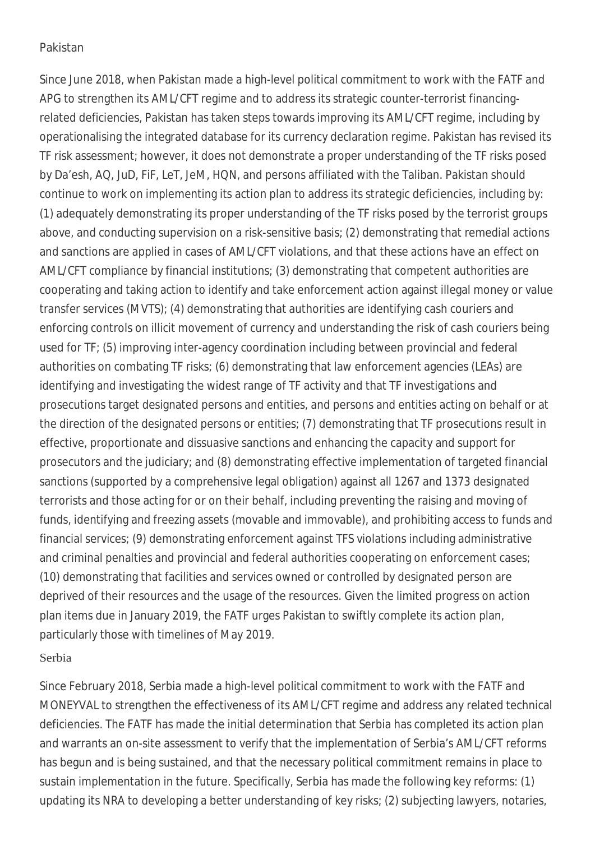## **Pakistan**

Since June 2018, when Pakistan made a high-level political commitment to work with the FATF and APG to strengthen its AML/CFT regime and to address its strategic counter-terrorist financingrelated deficiencies, Pakistan has taken steps towards improving its AML/CFT regime, including by operationalising the integrated database for its currency declaration regime. Pakistan has revised its TF risk assessment; however, it does not demonstrate a proper understanding of the TF risks posed by Da'esh, AQ, JuD, FiF, LeT, JeM, HQN, and persons affiliated with the Taliban. Pakistan should continue to work on implementing its action plan to address its strategic deficiencies, including by: (1) adequately demonstrating its proper understanding of the TF risks posed by the terrorist groups above, and conducting supervision on a risk-sensitive basis; (2) demonstrating that remedial actions and sanctions are applied in cases of AML/CFT violations, and that these actions have an effect on AML/CFT compliance by financial institutions; (3) demonstrating that competent authorities are cooperating and taking action to identify and take enforcement action against illegal money or value transfer services (MVTS); (4) demonstrating that authorities are identifying cash couriers and enforcing controls on illicit movement of currency and understanding the risk of cash couriers being used for TF; (5) improving inter-agency coordination including between provincial and federal authorities on combating TF risks; (6) demonstrating that law enforcement agencies (LEAs) are identifying and investigating the widest range of TF activity and that TF investigations and prosecutions target designated persons and entities, and persons and entities acting on behalf or at the direction of the designated persons or entities; (7) demonstrating that TF prosecutions result in effective, proportionate and dissuasive sanctions and enhancing the capacity and support for prosecutors and the judiciary; and (8) demonstrating effective implementation of targeted financial sanctions (supported by a comprehensive legal obligation) against all 1267 and 1373 designated terrorists and those acting for or on their behalf, including preventing the raising and moving of funds, identifying and freezing assets (movable and immovable), and prohibiting access to funds and financial services; (9) demonstrating enforcement against TFS violations including administrative and criminal penalties and provincial and federal authorities cooperating on enforcement cases; (10) demonstrating that facilities and services owned or controlled by designated person are deprived of their resources and the usage of the resources. Given the limited progress on action plan items due in January 2019, the FATF urges Pakistan to swiftly complete its action plan, particularly those with timelines of May 2019.

#### Serbia

Since February 2018, Serbia made a high-level political commitment to work with the FATF and MONEYVAL to strengthen the effectiveness of its AML/CFT regime and address any related technical deficiencies. The FATF has made the initial determination that Serbia has completed its action plan and warrants an on-site assessment to verify that the implementation of Serbia's AML/CFT reforms has begun and is being sustained, and that the necessary political commitment remains in place to sustain implementation in the future. Specifically, Serbia has made the following key reforms: (1) updating its NRA to developing a better understanding of key risks; (2) subjecting lawyers, notaries,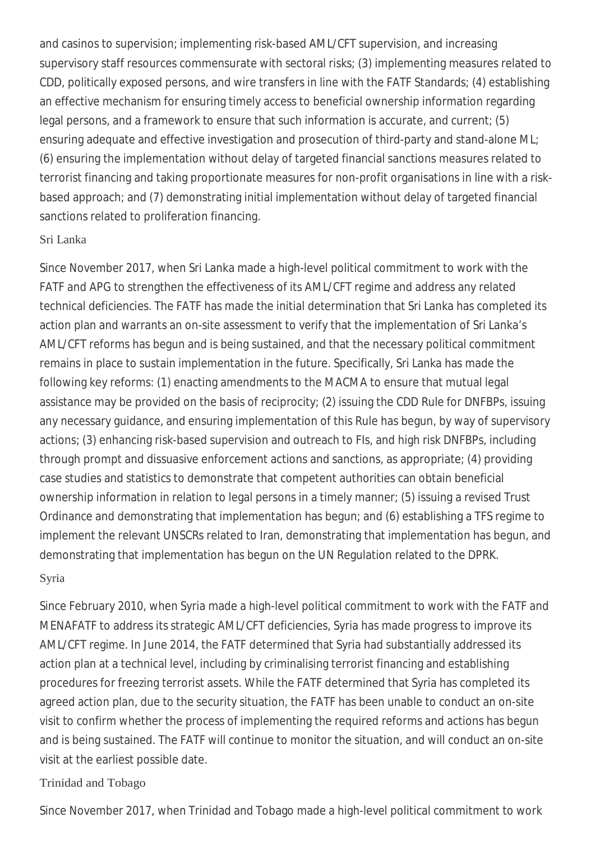and casinos to supervision; implementing risk-based AML/CFT supervision, and increasing supervisory staff resources commensurate with sectoral risks; (3) implementing measures related to CDD, politically exposed persons, and wire transfers in line with the FATF Standards; (4) establishing an effective mechanism for ensuring timely access to beneficial ownership information regarding legal persons, and a framework to ensure that such information is accurate, and current; (5) ensuring adequate and effective investigation and prosecution of third-party and stand-alone ML; (6) ensuring the implementation without delay of targeted financial sanctions measures related to terrorist financing and taking proportionate measures for non-profit organisations in line with a riskbased approach; and (7) demonstrating initial implementation without delay of targeted financial sanctions related to proliferation financing.

## Sri Lanka

Since November 2017, when Sri Lanka made a high-level political commitment to work with the FATF and APG to strengthen the effectiveness of its AML/CFT regime and address any related technical deficiencies. The FATF has made the initial determination that Sri Lanka has completed its action plan and warrants an on-site assessment to verify that the implementation of Sri Lanka's AML/CFT reforms has begun and is being sustained, and that the necessary political commitment remains in place to sustain implementation in the future. Specifically, Sri Lanka has made the following key reforms: (1) enacting amendments to the MACMA to ensure that mutual legal assistance may be provided on the basis of reciprocity; (2) issuing the CDD Rule for DNFBPs, issuing any necessary guidance, and ensuring implementation of this Rule has begun, by way of supervisory actions; (3) enhancing risk-based supervision and outreach to FIs, and high risk DNFBPs, including through prompt and dissuasive enforcement actions and sanctions, as appropriate; (4) providing case studies and statistics to demonstrate that competent authorities can obtain beneficial ownership information in relation to legal persons in a timely manner; (5) issuing a revised Trust Ordinance and demonstrating that implementation has begun; and (6) establishing a TFS regime to implement the relevant UNSCRs related to Iran, demonstrating that implementation has begun, and demonstrating that implementation has begun on the UN Regulation related to the DPRK.

## Syria

Since February 2010, when Syria made a high-level political commitment to work with the FATF and MENAFATF to address its strategic AML/CFT deficiencies, Syria has made progress to improve its AML/CFT regime. In June 2014, the FATF determined that Syria had substantially addressed its action plan at a technical level, including by criminalising terrorist financing and establishing procedures for freezing terrorist assets. While the FATF determined that Syria has completed its agreed action plan, due to the security situation, the FATF has been unable to conduct an on-site visit to confirm whether the process of implementing the required reforms and actions has begun and is being sustained. The FATF will continue to monitor the situation, and will conduct an on-site visit at the earliest possible date.

# Trinidad and Tobago

Since November 2017, when Trinidad and Tobago made a high-level political commitment to work